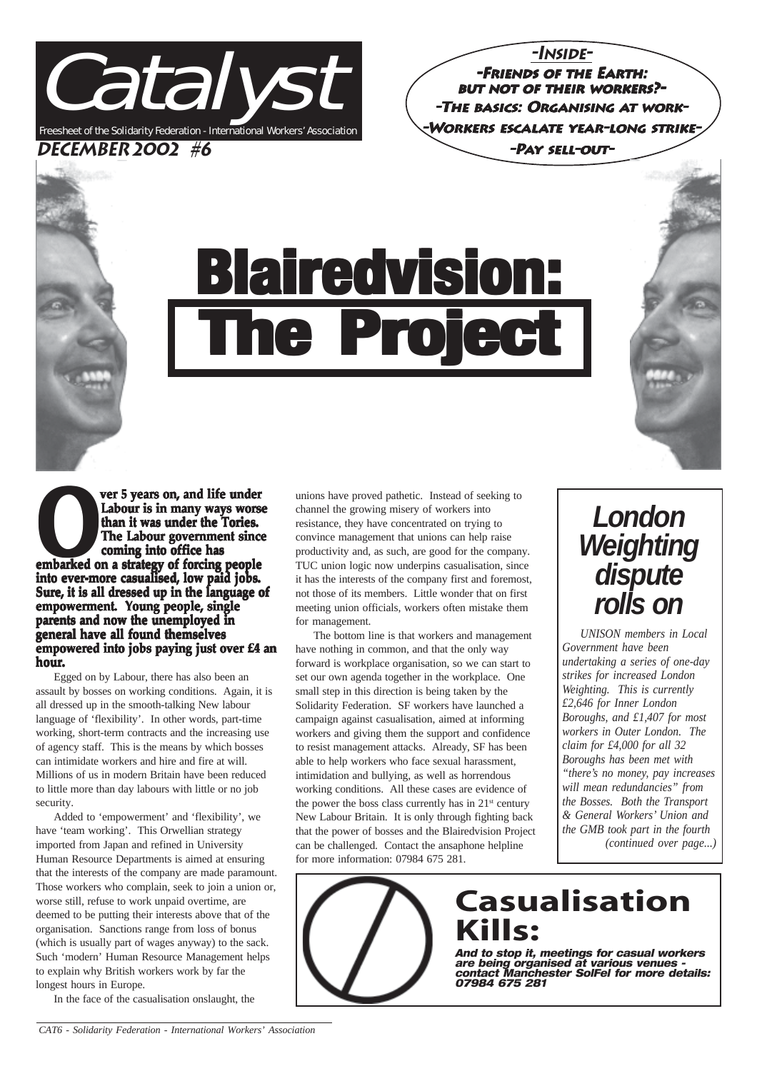

**-Inside--Friends of the Earth: of the but not of their workers?- orkers?- -The basics: Organising at work- -Workers escalate year-long strike- ong strike- -Pay sell-out-**

# **Blairedvision:** he Project

**Property of the Under Cover 3 years on, and life under<br>
Labour is in many ways wors<br>
than it was under the Tories.<br>
The Labour government since<br>
coming into office has<br>
embarked on a strategy of forcing people<br>
into a str Labour is in many ways worse than it was under the Tories. than it under the The Labour government since coming into office has into ever-more casualised, low paid jobs. paid jobs. Sure, it is all dressed up in the language of Sure, is all the language empowerment. Young people, single parents and now the unemployed in general have all found themselves empowered into jobs paying just over £4 an hour.**

Egged on by Labour, there has also been an assault by bosses on working conditions. Again, it is all dressed up in the smooth-talking New labour language of 'flexibility'. In other words, part-time working, short-term contracts and the increasing use of agency staff. This is the means by which bosses can intimidate workers and hire and fire at will. Millions of us in modern Britain have been reduced to little more than day labours with little or no job security.

Added to 'empowerment' and 'flexibility', we have 'team working'. This Orwellian strategy imported from Japan and refined in University Human Resource Departments is aimed at ensuring that the interests of the company are made paramount. Those workers who complain, seek to join a union or, worse still, refuse to work unpaid overtime, are deemed to be putting their interests above that of the organisation. Sanctions range from loss of bonus (which is usually part of wages anyway) to the sack. Such 'modern' Human Resource Management helps to explain why British workers work by far the longest hours in Europe.

In the face of the casualisation onslaught, the

unions have proved pathetic. Instead of seeking to channel the growing misery of workers into resistance, they have concentrated on trying to convince management that unions can help raise productivity and, as such, are good for the company. TUC union logic now underpins casualisation, since it has the interests of the company first and foremost, not those of its members. Little wonder that on first meeting union officials, workers often mistake them for management.

The bottom line is that workers and management have nothing in common, and that the only way forward is workplace organisation, so we can start to set our own agenda together in the workplace. One small step in this direction is being taken by the Solidarity Federation. SF workers have launched a campaign against casualisation, aimed at informing workers and giving them the support and confidence to resist management attacks. Already, SF has been able to help workers who face sexual harassment, intimidation and bullying, as well as horrendous working conditions. All these cases are evidence of the power the boss class currently has in  $21<sup>st</sup>$  century New Labour Britain. It is only through fighting back that the power of bosses and the Blairedvision Project can be challenged. Contact the ansaphone helpline for more information: 07984 675 281.

### *London Weighting dispute rolls on*

*UNISON members in Local Government have been undertaking a series of one-day strikes for increased London Weighting. This is currently £2,646 for Inner London Boroughs, and £1,407 for most workers in Outer London. The claim for £4,000 for all 32 Boroughs has been met with "there's no money, pay increases will mean redundancies" from the Bosses. Both the Transport & General Workers' Union and the GMB took part in the fourth (continued over page...)*

**Casualisation Kills:**

And to stop it, meetings for casual workers are being organised at various venues contact Manchester SolFel for more details: 07984 675 281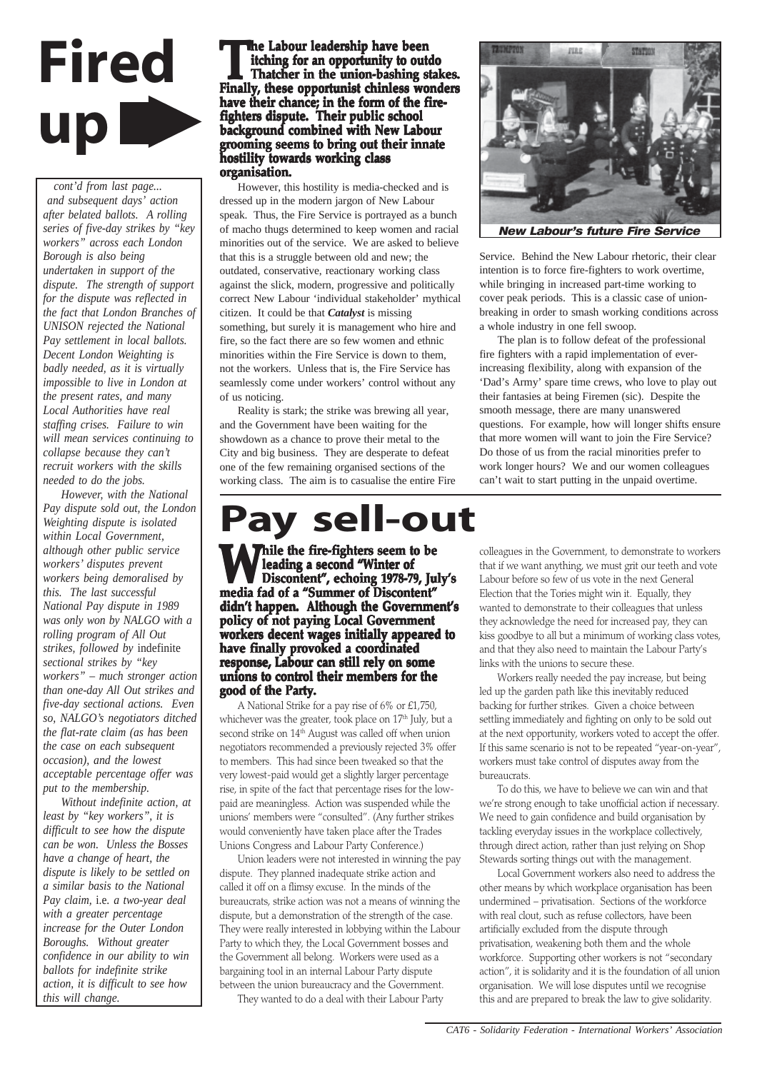

*cont'd from last page... and subsequent days' action after belated ballots. A rolling series of five-day strikes by "key workers" across each London Borough is also being undertaken in support of the dispute. The strength of support for the dispute was reflected in the fact that London Branches of UNISON rejected the National Pay settlement in local ballots. Decent London Weighting is badly needed, as it is virtually impossible to live in London at the present rates, and many Local Authorities have real staffing crises. Failure to win will mean services continuing to collapse because they can't recruit workers with the skills needed to do the jobs.*

*However, with the National Pay dispute sold out, the London Weighting dispute is isolated within Local Government, although other public service workers' disputes prevent workers being demoralised by this. The last successful National Pay dispute in 1989 was only won by NALGO with a rolling program of All Out strikes, followed by* indefinite *sectional strikes by "key workers" – much stronger action than one-day All Out strikes and five-day sectional actions. Even so, NALGO's negotiators ditched the flat-rate claim (as has been the case on each subsequent occasion), and the lowest acceptable percentage offer was put to the membership.*

*Without indefinite action, at least by "key workers", it is difficult to see how the dispute can be won. Unless the Bosses have a change of heart, the dispute is likely to be settled on a similar basis to the National Pay claim,* i.e. *a two-year deal with a greater percentage increase for the Outer London Boroughs. Without greater confidence in our ability to win ballots for indefinite strike action, it is difficult to see how this will change.*

**The Labour leadership have been**<br> **Thatcher in the union-bashing stakes.**<br> **Finally, these opportunist chinless wonders itching for an opportunity to outdo Finally, these opportunist chinless wonders have their chance; in the form of the fire- have their firefighters dispute. Their public school Their school background combined with New Labour background combined with grooming seems to bring out their innate hostility towards working class organisation.**

However, this hostility is media-checked and is dressed up in the modern jargon of New Labour speak. Thus, the Fire Service is portrayed as a bunch of macho thugs determined to keep women and racial minorities out of the service. We are asked to believe that this is a struggle between old and new; the outdated, conservative, reactionary working class against the slick, modern, progressive and politically correct New Labour 'individual stakeholder' mythical citizen. It could be that *Catalyst* is missing something, but surely it is management who hire and fire, so the fact there are so few women and ethnic minorities within the Fire Service is down to them, not the workers. Unless that is, the Fire Service has seamlessly come under workers' control without any of us noticing.

Reality is stark; the strike was brewing all year, and the Government have been waiting for the showdown as a chance to prove their metal to the City and big business. They are desperate to defeat one of the few remaining organised sections of the working class. The aim is to casualise the entire Fire

### **Pay sell-out**

**While the fire-fighters seem to be** leading a second "Winter of **Discontent", echoing 1978-79, July's media fad of a "Summer of Discontent" didn't happen. Although the Government's policy of not paying Local Government Local workers decent wages initially appeared to have finally provoked a coordinated response, Labour can still rely on some unions to control their members for the** good of the Party.

A National Strike for a pay rise of 6% or £1,750, whichever was the greater, took place on 17<sup>th</sup> July, but a second strike on 14<sup>th</sup> August was called off when union negotiators recommended a previously rejected 3% offer to members. This had since been tweaked so that the very lowest-paid would get a slightly larger percentage rise, in spite of the fact that percentage rises for the lowpaid are meaningless. Action was suspended while the unions' members were "consulted". (Any further strikes would conveniently have taken place after the Trades Unions Congress and Labour Party Conference.)

Union leaders were not interested in winning the pay dispute. They planned inadequate strike action and called it off on a flimsy excuse. In the minds of the bureaucrats, strike action was not a means of winning the dispute, but a demonstration of the strength of the case. They were really interested in lobbying within the Labour Party to which they, the Local Government bosses and the Government all belong. Workers were used as a bargaining tool in an internal Labour Party dispute between the union bureaucracy and the Government.

They wanted to do a deal with their Labour Party



Service. Behind the New Labour rhetoric, their clear intention is to force fire-fighters to work overtime, while bringing in increased part-time working to cover peak periods. This is a classic case of unionbreaking in order to smash working conditions across a whole industry in one fell swoop.

The plan is to follow defeat of the professional fire fighters with a rapid implementation of everincreasing flexibility, along with expansion of the 'Dad's Army' spare time crews, who love to play out their fantasies at being Firemen (sic). Despite the smooth message, there are many unanswered questions. For example, how will longer shifts ensure that more women will want to join the Fire Service? Do those of us from the racial minorities prefer to work longer hours? We and our women colleagues can't wait to start putting in the unpaid overtime.

colleagues in the Government, to demonstrate to workers that if we want anything, we must grit our teeth and vote Labour before so few of us vote in the next General Election that the Tories might win it. Equally, they wanted to demonstrate to their colleagues that unless they acknowledge the need for increased pay, they can kiss goodbye to all but a minimum of working class votes, and that they also need to maintain the Labour Party's links with the unions to secure these.

Workers really needed the pay increase, but being led up the garden path like this inevitably reduced backing for further strikes. Given a choice between settling immediately and fighting on only to be sold out at the next opportunity, workers voted to accept the offer. If this same scenario is not to be repeated "year-on-year", workers must take control of disputes away from the bureaucrats.

To do this, we have to believe we can win and that we're strong enough to take unofficial action if necessary. We need to gain confidence and build organisation by tackling everyday issues in the workplace collectively, through direct action, rather than just relying on Shop Stewards sorting things out with the management.

Local Government workers also need to address the other means by which workplace organisation has been undermined – privatisation. Sections of the workforce with real clout, such as refuse collectors, have been artificially excluded from the dispute through privatisation, weakening both them and the whole workforce. Supporting other workers is not "secondary action", it is solidarity and it is the foundation of all union organisation. We will lose disputes until we recognise this and are prepared to break the law to give solidarity.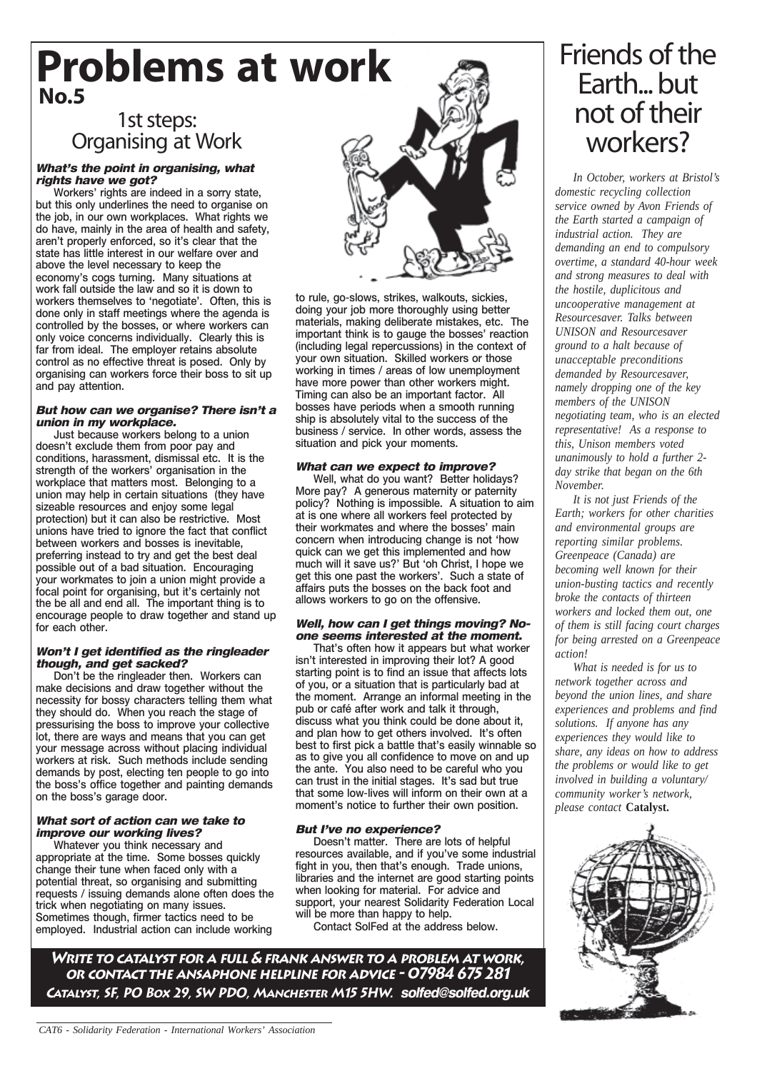### **Problems at work No.5**

#### 1st steps: Organising at Work

#### What's the point in organising, what rights have we got?

Workers' rights are indeed in a sorry state, but this only underlines the need to organise on the job, in our own workplaces. What rights we do have, mainly in the area of health and safety, aren't properly enforced, so it's clear that the state has little interest in our welfare over and above the level necessary to keep the economy's cogs turning. Many situations at work fall outside the law and so it is down to workers themselves to 'negotiate'. Often, this is done only in staff meetings where the agenda is controlled by the bosses, or where workers can only voice concerns individually. Clearly this is far from ideal. The employer retains absolute control as no effective threat is posed. Only by organising can workers force their boss to sit up and pay attention.

#### But how can we organise? There isn't a union in my workplace.

Just because workers belong to a union doesn't exclude them from poor pay and conditions, harassment, dismissal etc. It is the strength of the workers' organisation in the workplace that matters most. Belonging to a union may help in certain situations (they have sizeable resources and enjoy some legal protection) but it can also be restrictive. Most unions have tried to ignore the fact that conflict between workers and bosses is inevitable, preferring instead to try and get the best deal possible out of a bad situation. Encouraging your workmates to join a union might provide a focal point for organising, but it's certainly not the be all and end all. The important thing is to encourage people to draw together and stand up for each other.

#### Won't I get identified as the ringleader though, and get sacked?

Don't be the ringleader then. Workers can make decisions and draw together without the necessity for bossy characters telling them what they should do. When you reach the stage of pressurising the boss to improve your collective lot, there are ways and means that you can get your message across without placing individual workers at risk. Such methods include sending demands by post, electing ten people to go into the boss's office together and painting demands on the boss's garage door.

#### What sort of action can we take to improve our working lives?

Whatever you think necessary and appropriate at the time. Some bosses quickly change their tune when faced only with a potential threat, so organising and submitting requests / issuing demands alone often does the trick when negotiating on many issues. Sometimes though, firmer tactics need to be employed. Industrial action can include working



to rule, go-slows, strikes, walkouts, sickies, doing your job more thoroughly using better materials, making deliberate mistakes, etc. The important think is to gauge the bosses' reaction (including legal repercussions) in the context of your own situation. Skilled workers or those working in times / areas of low unemployment have more power than other workers might. Timing can also be an important factor. All bosses have periods when a smooth running ship is absolutely vital to the success of the business / service. In other words, assess the situation and pick your moments.

#### What can we expect to improve?

Well, what do you want? Better holidays? More pay? A generous maternity or paternity policy? Nothing is impossible. A situation to aim at is one where all workers feel protected by their workmates and where the bosses' main concern when introducing change is not 'how quick can we get this implemented and how much will it save us?' But 'oh Christ, I hope we get this one past the workers'. Such a state of affairs puts the bosses on the back foot and allows workers to go on the offensive.

#### Well, how can I get things moving? Noone seems interested at the moment.

That's often how it appears but what worker isn't interested in improving their lot? A good starting point is to find an issue that affects lots of you, or a situation that is particularly bad at the moment. Arrange an informal meeting in the pub or café after work and talk it through, discuss what you think could be done about it, and plan how to get others involved. It's often best to first pick a battle that's easily winnable so as to give you all confidence to move on and up the ante. You also need to be careful who you can trust in the initial stages. It's sad but true that some low-lives will inform on their own at a moment's notice to further their own position.

#### But I've no experience?

Doesn't matter. There are lots of helpful resources available, and if you've some industrial fight in you, then that's enough. Trade unions, libraries and the internet are good starting points when looking for material. For advice and support, your nearest Solidarity Federation Local will be more than happy to help.

Contact SolFed at the address below.

**Write to catalyst for a full & frank answer to a problem at work, or contact the ansaphone helpline for advice - 07984 675 281 Catalyst, SF, PO Box 29, SW PDO, Manchester M15 5HW.** solfed@solfed.org.uk

### Friends of the Earth... but not of their workers?

*In October, workers at Bristol's domestic recycling collection service owned by Avon Friends of the Earth started a campaign of industrial action. They are demanding an end to compulsory overtime, a standard 40-hour week and strong measures to deal with the hostile, duplicitous and uncooperative management at Resourcesaver. Talks between UNISON and Resourcesaver ground to a halt because of unacceptable preconditions demanded by Resourcesaver, namely dropping one of the key members of the UNISON negotiating team, who is an elected representative! As a response to this, Unison members voted unanimously to hold a further 2 day strike that began on the 6th November.*

*It is not just Friends of the Earth; workers for other charities and environmental groups are reporting similar problems. Greenpeace (Canada) are becoming well known for their union-busting tactics and recently broke the contacts of thirteen workers and locked them out, one of them is still facing court charges for being arrested on a Greenpeace action!*

*What is needed is for us to network together across and beyond the union lines, and share experiences and problems and find solutions. If anyone has any experiences they would like to share, any ideas on how to address the problems or would like to get involved in building a voluntary/ community worker's network, please contact* **Catalyst.**